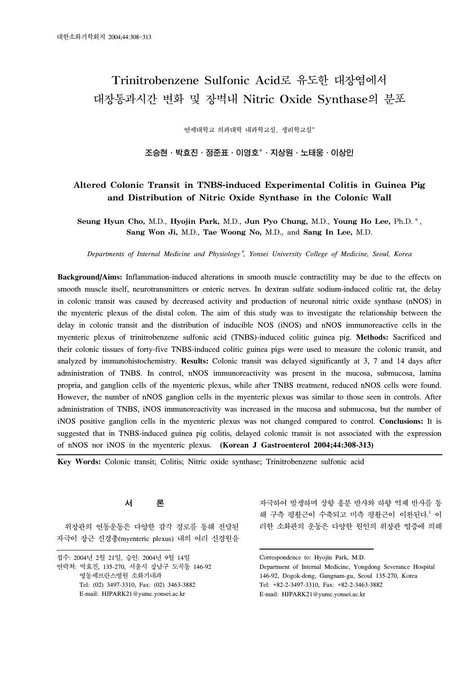# Trinitrobenzene Sulfonic Acid로 유도한 대장염에서 대장통과시간 변화 및 장벽내 Nitric Oxide Synthase의 분포

연세대학교 의과대학 내과학교실, 생리학교실\*

조승현 · 박효진 · 정준표 · 이영호 $^*$  · 지상원 · 노태웅 · 이상인

## **Altered Colonic Transit in TNBS-induced Experimental Colitis in Guinea Pig and Distribution of Nitric Oxide Synthase in the Colonic Wall**

**Seung Hyun Cho,** M.D., **Hyojin Park,** M.D., **Jun Pyo Chung,** M.D., **Young Ho Lee,** Ph.D.\*, **Sang Won Ji,** M.D., **Tae Woong No,** M.D., and **Sang In Lee,** M.D.

*Departments of Internal Medicine and Physiology*\**, Yonsei University College of Medicine, Seoul, Korea*

**Background/Aims:** Inflammation-induced alterations in smooth muscle contractility may be due to the effects on smooth muscle itself, neurotransmitters or enteric nerves. In dextran sulfate sodium-induced colitic rat, the delay in colonic transit was caused by decreased activity and production of neuronal nitric oxide synthase (nNOS) in the myenteric plexus of the distal colon. The aim of this study was to investigate the relationship between the delay in colonic transit and the distribution of inducible NOS (iNOS) and nNOS immunoreactive cells in the myenteric plexus of trinitrobenzene sulfonic acid (TNBS)-induced colitic guinea pig. **Methods:** Sacrificed and their colonic tissues of forty-five TNBS-induced colitic guinea pigs were used to measure the colonic transit, and analyzed by immunohistochemistry. **Results:** Colonic transit was delayed significantly at 3, 7 and 14 days after administration of TNBS. In control, nNOS immunoreactivity was present in the mucosa, submucosa, lamina propria, and ganglion cells of the myenteric plexus, while after TNBS treatment, reduced nNOS cells were found. However, the number of nNOS ganglion cells in the myenteric plexus was similar to those seen in controls. After administration of TNBS, iNOS immunoreactivity was increased in the mucosa and submucosa, but the number of iNOS positive ganglion cells in the myenteric plexus was not changed compared to control. **Conclusions:** It is suggested that in TNBS-induced guinea pig colitis, delayed colonic transit is not associated with the expression of nNOS nor iNOS in the myenteric plexus. **(Korean J Gastroenterol 2004;44:308-313)**

**Key Words:** Colonic transit; Colitis; Nitric oxide synthase; Trinitrobenzene sulfonic acid

### 서 론

위장관의 연동운동은 다양한 감각 경로를 통해 전달된 자극이 장근 신경총(myenteric plexus) 내의 여러 신경원을 자극하여 발생하며 상향 흥분 반사와 하향 억제 반사를 통 해 구측 평활근이 수축되고 미측 평활근이 이완된다.<sup>1</sup> 이 러한 소화관의 운동은 다양한 원인의 위장관 염증에 의해

접수: 2004년 2월 21일, 승인: 2004년 9월 14일 연락처: 박효진, 135-270, 서울시 강남구 도곡동 146-92 영동세브란스병원 소화기내과 Tel: (02) 3497-3310, Fax: (02) 3463-3882 E-mail: HJPARK21@yumc.yonsei.ac.kr

Correspondence to: Hyojin Park, M.D.

Department of Internal Medicine, Yongdong Severance Hospital 146-92, Dogok-dong, Gangnam-gu, Seoul 135-270, Korea Tel: +82-2-3497-3310, Fax: +82-2-3463-3882 E-mail: HJPARK21@yumc.yonsei.ac.kr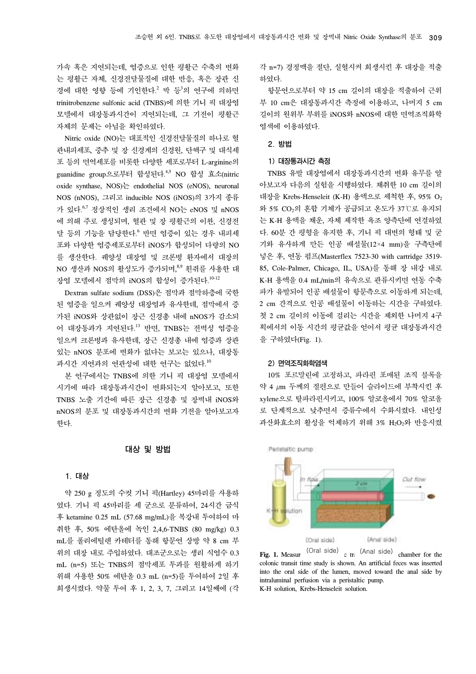가속 혹은 지연되는데, 염증으로 인한 평활근 수축의 변화 는 평활근 자체, 신경전달물질에 대한 반응, 혹은 장관 신 경에 대한 영향 등에 기인한다.<sup>2</sup> 박 등<sup>3</sup>의 연구에 의하면 trinitrobenzene sulfonic acid (TNBS)에 의한 기니 픽 대장염 모델에서 대장통과시간이 지연되는데, 그 기전이 평활근 자체의 문제는 아님을 확인하였다.

Nitric oxide (NO)는 대표적인 신경전달물질의 하나로 혈 관내피세포, 중추 및 장 신경계의 신경원, 단핵구 및 대식세 포 등의 면역세포를 비롯한 다양한 세포로부터 L-arginine의 guanidine group으로부터 합성된다. 4,5 NO 합성 효소(nitric oxide synthase, NOS)는 endothelial NOS (eNOS), neuronal NOS (nNOS), 그리고 inducible NOS (iNOS)의 3가지 종류 가 있다. 6,7 정상적인 생리 조건에서 NO는 eNOS 및 nNOS 에 의해 주로 생성되며, 혈관 및 장 평활근의 이완, 신경전 달 등의 기능을 담당한다. <sup>6</sup> 반면 염증이 있는 경우 내피세 포와 다양한 염증세포로부터 iNOS가 합성되어 다량의 NO 를 생산한다. 궤양성 대장염 및 크론병 환자에서 대장의 NO 생산과 NOS의 활성도가 증가되며,<sup>8,9</sup> 흰쥐를 사용한 대 장염 모델에서 점막의 iNOS의 합성이 증가된다.<sup>10-12</sup>

Dextran sulfate sodium (DSS)은 점막과 점막하층에 국한 된 염증을 일으켜 궤양성 대장염과 유사한데, 점막에서 증 가된 iNOS와 상관없이 장근 신경총 내에 nNOS가 감소되 어 대장통과가 지연된다. <sup>13</sup> 반면, TNBS는 전벽성 염증을 일으켜 크론병과 유사한데, 장근 신경총 내에 염증과 상관 있는 nNOS 분포에 변화가 없다는 보고는 있으나, 대장통 과시간 지연과의 연관성에 대한 연구는 없었다.<sup>10</sup>

본 연구에서는 TNBS에 의한 기니 픽 대장염 모델에서 시기에 따라 대장통과시간이 변화되는지 알아보고, 또한 TNBS 노출 기간에 따른 장근 신경총 및 장벽내 iNOS와 nNOS의 분포 및 대장통과시간의 변화 기전을 알아보고자 한다.

#### 대상 및 방법

#### 1. 대상

약 250 g 정도의 수컷 기니 픽(Hartley) 45마리를 사용하 였다. 기니 픽 45마리를 세 군으로 분류하여, 24시간 금식 후 ketamine 0.25 mL (57.68 mg/mL)을 복강내 투여하여 마 취한 후, 50% 에탄올에 녹인 2,4,6-TNBS (80 mg/kg) 0.3 mL를 폴리에틸렌 카테터를 통해 항문연 상방 약 8 cm 부 위의 대장 내로 주입하였다. 대조군으로는 생리 식염수 0.3 mL (n=5) 또는 TNBS의 점막세포 투과를 원활하게 하기 위해 사용한 50% 에탄올 0.3 mL (n=5)를 투여하여 2일 후 희생시켰다. 약물 투여 후 1, 2, 3, 7, 그리고 14일째에 (각

각 n=7) 경정맥을 절단, 실혈시켜 희생시킨 후 대장을 적출 하였다.

항문연으로부터 약 15 cm 길이의 대장을 적출하여 근위 부 10 cm은 대장통과시간 측정에 이용하고, 나머지 5 cm 길이의 원위부 부위를 iNOS와 nNOS에 대한 면역조직화학 염색에 이용하였다.

#### 2. 방법

#### 1) 대장통과시간 측정

TNBS 유발 대장염에서 대장통과시간의 변화 유무를 알 아보고자 다음의 실험을 시행하였다. 채취한 10 cm 길이의 대장을 Krebs-Henseleit (K-H) 용액으로 세척한 후, 95% O2 와 5% CO2의 혼합 기체가 공급되고 온도가 37℃로 유지되 는 K-H 용액을 채운, 자체 제작한 욕조 양측단에 연결하였 다. 60분 간 평형을 유지한 후, 기니 픽 대변의 형태 및 굳 기와 유사하게 만든 인공 배설물(12×4 mm)을 구측단에 넣은 후, 연동 펌프(Masterflex 7523-30 with cartridge 3519- 85, Cole-Palmer, Chicago, IL, USA)를 통해 장 내강 내로 K-H 용액을 0.4 mL/min의 유속으로 관류시키면 연동 수축 파가 유발되어 인공 배설물이 항문측으로 이동하게 되는데, 2 cm 간격으로 인공 배설물이 이동하는 시간을 구하였다. 첫 2 cm 길이의 이동에 걸리는 시간을 제외한 나머지 4구 획에서의 이동 시간의 평균값을 얻어서 평균 대장통과시간 을 구하였다(Fig. 1).

#### 2) 면역조직화학염색

10% 포르말린에 고정하고, 파라핀 포매된 조직 블록을 약 4 µm 두께의 절편으로 만들어 슬라이드에 부착시킨 후 xylene으로 탈파라핀시키고, 100% 알코올에서 70% 알코올 로 단계적으로 낮추면서 증류수에서 수화시켰다. 내인성 과산화효소의 활성을 억제하기 위해 3% H2O2와 반응시켰



**Fig. 1.** Measur (Oral side) (Anal side) chamber for the chamber for the chamber for the chamber for the colonic transitional side) colonic transit time study is shown. An artificial feces was inserted into the oral side of the lumen, moved toward the anal side by intraluminal perfusion via a peristaltic pump. K-H solution, Krebs-Henseleit solution.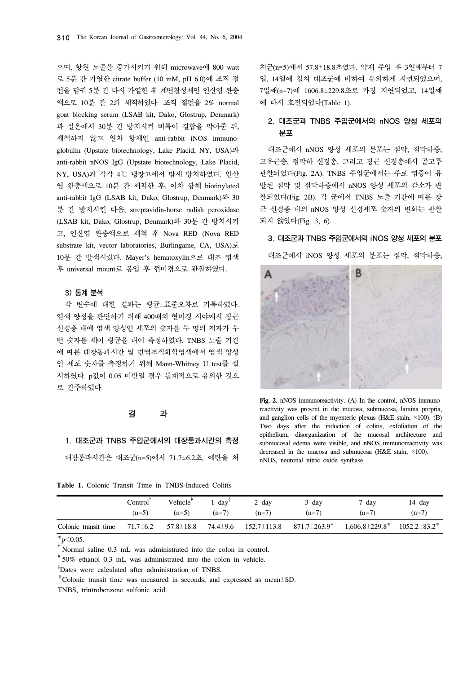으며, 항원 노출을 증가시키기 위해 microwave에 800 watt 로 5분 간 가열한 citrate buffer (10 mM, pH 6.0)에 조직 절 편을 담궈 5분 간 다시 가열한 후 계면활성제인 인산염 완충 액으로 10분 간 2회 세척하였다. 조직 절편을 2% normal goat blocking serum (LSAB kit, Dako, Glostrup, Denmark) 과 실온에서 30분 간 방치시켜 비특이 결합을 막아준 뒤, 세척하지 않고 일차 항체인 anti-rabbit iNOS immunoglobulin (Upstate biotechnology, Lake Placid, NY, USA)과 anti-rabbit nNOS IgG (Upstate biotechnology, Lake Placid, NY, USA)과 각각 4℃ 냉장고에서 밤새 방치하였다. 인산 염 완충액으로 10분 간 세척한 후, 이차 항체 biotinylated anti-rabbit IgG (LSAB kit, Dako, Glostrup, Denmark)와 30 분 간 방치시킨 다음, streptavidin-horse radish peroxidase (LSAB kit, Dako, Glostrup, Denmark)와 30분 간 방치시키 고, 인산염 완충액으로 세척 후 Nova RED (Nova RED substrate kit, vector laboratories, Burlingame, CA, USA)로 10분 간 발색시켰다. Mayer's hematoxylin으로 대조 염색 후 universal mount로 봉입 후 현미경으로 관찰하였다.

#### 3) 통계 분석

각 변수에 대한 결과는 평균±표준오차로 기록하였다. 염색 양성을 판단하기 위해 400배의 현미경 시야에서 장근 신경총 내에 염색 양성인 세포의 숫자를 두 명의 저자가 두 번 숫자를 세어 평균을 내어 측정하였다. TNBS 노출 기간 에 따른 대장통과시간 및 면역조직화학염색에서 염색 양성 인 세포 숫자를 측정하기 위해 Mann-Whitney U test를 실 시하였다. p값이 0.05 미만일 경우 통계적으로 유의한 것으 로 간주하였다.

#### 결 과

## 1. 대조군과 TNBS 주입군에서의 대장통과시간의 측정 대장통과시간은 대조군(n=5)에서 71.7±6.2초, 에탄올 처

**Table 1.** Colonic Transit Time in TNBS-Induced Colitis

치군(n=5)에서 57.8±18.8초였다. 약제 주입 후 3일째부터 7 일, 14일에 걸쳐 대조군에 비하여 유의하게 지연되었으며, 7일째(n=7)에 1606.8±229.8초로 가장 지연되었고, 14일째 에 다시 호전되었다(Table 1).

## 2. 대조군과 TNBS 주입군에서의 nNOS 양성 세포의 분포

대조군에서 nNOS 양성 세포의 분포는 점막, 점막하층, 고유근층, 점막하 신경총, 그리고 장근 신경총에서 골고루 관찰되었다(Fig. 2A). TNBS 주입군에서는 주로 염증이 유 발된 점막 및 점막하층에서 nNOS 양성 세포의 감소가 관 찰되었다(Fig. 2B). 각 군에서 TNBS 노출 기간에 따른 장 근 신경총 내의 nNOS 양성 신경세포 숫자의 변화는 관찰 되지 않았다(Fig. 3, 6).

3. 대조군과 TNBS 주입군에서의 iNOS 양성 세포의 분포

대조군에서 iNOS 양성 세포의 분포는 점막, 점막하층,



**Fig. 2.** nNOS immunoreactivity. (A) In the control, nNOS immunoreactivity was present in the mucosa, submucosa, lamina propria, and ganglion cells of the myenteric plexus (H&E stain,  $\times$ 100). (B) Two days after the induction of colitis, exfoliation of the epithelium, disorganization of the mucosal architecture and submucosal edema were visible, and nNOS immunoreactivity was decreased in the mucosa and submucosa (H&E stain, ×100). nNOS, neuronal nitric oxide synthase.

|                      | Control        | Vehicle <sup>'</sup> | $day^8$  | 2 day             | 3 day               | 7 day                                     | 14 day  |
|----------------------|----------------|----------------------|----------|-------------------|---------------------|-------------------------------------------|---------|
|                      | $(n=5)$        | $(n=5)$              | $(n=7)$  | $(n=7)$           | $(n=7)$             | $(n=7)$                                   | $(n=7)$ |
| Colonic transit time | $71.7 \pm 6.2$ | $57.8 \pm 18.8$      | 74.4±9.6 | $152.7 \pm 113.8$ | $871.7 \pm 263.9^*$ | $1,606.8 \pm 229.8^*$ $1052.2 \pm 83.2^*$ |         |

 $*_{p<0.05}$ .

†Normal saline 0.3 mL was administrated into the colon in control.

‡50% ethanol 0.3 mL was administrated into the colon in vehicle.

<sup>∥</sup>Colonic transit time was measured in seconds, and expressed as mean±SD.

TNBS, trintrobenzene sulfonic acid.

<sup>§</sup> Dates were calculated after administration of TNBS.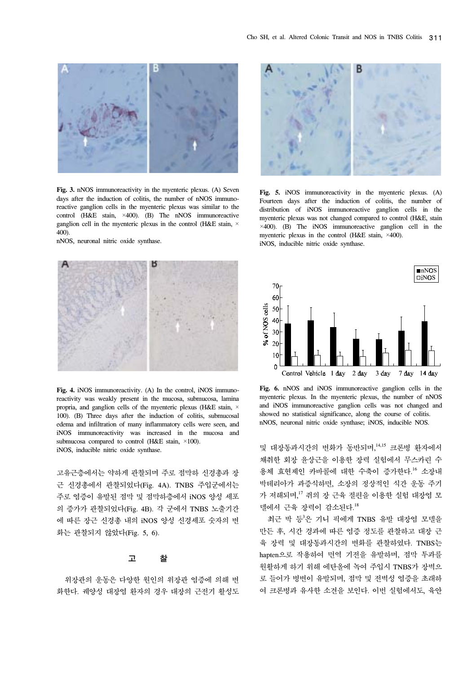

**Fig. 3.** nNOS immunoreactivity in the myenteric plexus. (A) Seven days after the induction of colitis, the number of nNOS immunoreactive ganglion cells in the myenteric plexus was similar to the control (H&E stain, ×400). (B) The nNOS immunoreactive ganglion cell in the myenteric plexus in the control (H&E stain,  $\times$ 400).

nNOS, neuronal nitric oxide synthase.



**Fig. 4.** iNOS immunoreactivity. (A) In the control, iNOS immunoreactivity was weakly present in the mucosa, submucosa, lamina propria, and ganglion cells of the myenteric plexus (H&E stain, × 100). (B) Three days after the induction of colitis, submucosal edema and infiltration of many inflammatory cells were seen, and iNOS immunoreactivity was increased in the mucosa and submucosa compared to control (H&E stain,  $\times$ 100). iNOS, inducible nitric oxide synthase.

고유근층에서는 약하게 관찰되며 주로 점막하 신경총과 장 근 신경총에서 관찰되었다(Fig. 4A). TNBS 주입군에서는 주로 염증이 유발된 점막 및 점막하층에서 iNOS 양성 세포 의 증가가 관찰되었다(Fig. 4B). 각 군에서 TNBS 노출기간 에 따른 장근 신경총 내의 iNOS 양성 신경세포 숫자의 변 화는 관찰되지 않았다(Fig. 5, 6).

#### 고 찰

위장관의 운동은 다양한 원인의 위장관 염증에 의해 변 화한다. 궤양성 대장염 환자의 경우 대장의 근전기 활성도



**Fig. 5.** iNOS immunoreactivity in the myenteric plexus. (A) Fourteen days after the induction of colitis, the number of distribution of iNOS immunoreactive ganglion cells in the myenteric plexus was not changed compared to control (H&E, stain  $\times$ 400). (B) The iNOS immunoreactive ganglion cell in the myenteric plexus in the control (H&E stain, ×400). iNOS, inducible nitric oxide synthase.



**Fig. 6.** nNOS and iNOS immunoreactive ganglion cells in the myenteric plexus. In the myenteric plexus, the number of nNOS and iNOS immunoreactive ganglion cells was not changed and showed no statistical significance, along the course of colitis. nNOS, neuronal nitric oxide synthase; iNOS, inducible NOS.

및 대장통과시간의 변화가 동반되며, 14,15 크론병 환자에서 채취한 회장 윤상근을 이용한 장력 실험에서 무스카린 수 용체 효현제인 카바콜에 대한 수축이 증가한다. <sup>16</sup> 소장내 박테리아가 과증식하면, 소장의 정상적인 식간 운동 주기 가 저해되며,<sup>17</sup> 쥐의 장 근육 절편을 이용한 실험 대장염 모 델에서 근육 장력이 감소된다. 18

최근 박 등'은 기니 픽에게 TNBS 유발 대장염 모델을 만든 후, 시간 경과에 따른 염증 정도를 관찰하고 대장 근 육 장력 및 대장통과시간의 변화를 관찰하였다. TNBS는 hapten으로 작용하여 면역 기전을 유발하며, 점막 투과를 원활하게 하기 위해 에탄올에 녹여 주입시 TNBS가 장벽으 로 들어가 병변이 유발되며, 점막 및 전벽성 염증을 초래하 여 크론병과 유사한 소견을 보인다. 이번 실험에서도, 육안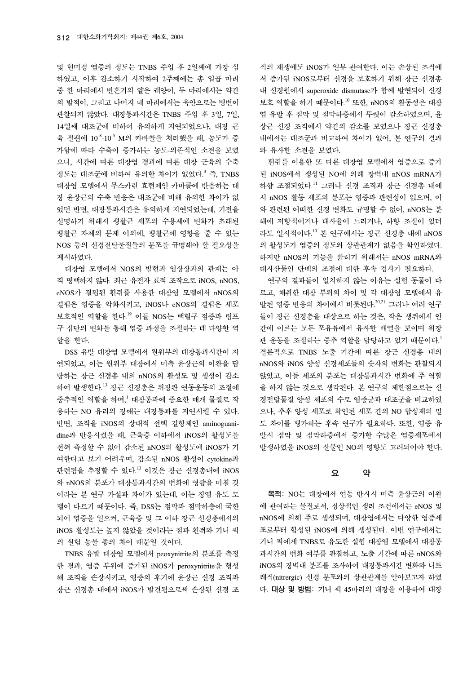및 현미경 염증의 정도는 TNBS 주입 후 2일째에 가장 심 하였고, 이후 감소하기 시작하여 2주째에는 총 일곱 마리 중 한 마리에서 반흔기의 얕은 궤양이, 두 마리에서는 약간 의 발적이, 그리고 나머지 네 마리에서는 육안으로는 병변이 관찰되지 않았다. 대장통과시간은 TNBS 주입 후 3일, 7일, 14일째 대조군에 비하여 유의하게 지연되었으나, 대장 근 육 절편에 10-8-10-5 M의 카바콜을 처리했을 때, 농도가 증 가함에 따라 수축이 증가하는 농도-의존적인 소견을 보였 으나, 시간에 따른 대장염 경과에 따른 대장 근육의 수축 정도는 대조군에 비하여 유의한 차이가 없었다. <sup>3</sup> 즉, TNBS 대장염 모델에서 무스카린 효현제인 카바콜에 반응하는 대 장 윤상근의 수축 반응은 대조군에 비해 유의한 차이가 없 었던 반면, 대장통과시간은 유의하게 지연되었는데, 기전을 설명하기 위해서 평활근 세포의 수용체에 변화가 초래된 평활근 자체의 문제 이외에, 평활근에 영향을 줄 수 있는 NOS 등의 신경전달물질들의 분포를 규명해야 할 필요성을 제시하였다.

대장염 모델에서 NOS의 발현과 임상상과의 관계는 아 직 명백하지 않다. 최근 유전자 표적 조작으로 iNOS, nNOS, eNOS가 결핍된 흰쥐를 사용한 대장염 모델에서 nNOS의 결핍은 염증을 악화시키고, iNOS나 eNOS의 결핍은 세포 보호적인 역할을 한다. <sup>19</sup> 이들 NOS는 백혈구 점증과 림프 구 집단의 변화를 통해 염증 과정을 조절하는 데 다양한 역 할을 한다.

DSS 유발 대장염 모델에서 원위부의 대장통과시간이 지 연되었고, 이는 원위부 대장에서 미측 윤상근의 이완을 담 당하는 장근 신경총 내의 nNOS의 활성도 및 생성이 감소 하여 발생한다. <sup>13</sup> 장근 신경총은 위장관 연동운동의 조절에 중추적인 역할을 하며, <sup>1</sup> 대장통과에 중요한 매개 물질로 작 용하는 NO 유리의 장애는 대장통과를 지연시킬 수 있다. 반면, 조직을 iNOS의 상대적 선택 길항제인 aminoguanidine과 반응시켰을 때, 근육층 이하에서 iNOS의 활성도를 전혀 측정할 수 없어 감소된 nNOS의 활성도에 iNOS가 기 여한다고 보기 어려우며, 감소된 nNOS 활성이 cytokine과 관련됨을 추정할 수 있다.<sup>13</sup> 이것은 장근 신경총내에 iNOS 와 nNOS의 분포가 대장통과시간의 변화에 영향을 미칠 것 이라는 본 연구 가설과 차이가 있는데, 이는 장염 유도 모 델이 다르기 때문이다. 즉, DSS는 점막과 점막하층에 국한 되어 염증을 일으켜, 근육층 및 그 이하 장근 신경총에서의 iNOS 활성도는 높지 않았을 것이라는 점과 흰쥐와 기니 픽 의 실험 동물 종의 차이 때문일 것이다.

TNBS 유발 대장염 모델에서 peoxynitrite의 분포를 측정 한 결과, 염증 부위에 증가된 iNOS가 peroxynitrite을 형성 해 조직을 손상시키고, 염증의 후기에 윤상근 신경 조직과 장근 신경총 내에서 iNOS가 발견됨으로써 손상된 신경 조

직의 재생에도 iNOS가 일부 관여한다. 이는 손상된 조직에 서 증가된 iNOS로부터 신경을 보호하기 위해 장근 신경총 내 신경원에서 superoxide dismutase가 함께 발현되어 신경 보호 역할을 하기 때문이다. <sup>10</sup> 또한, nNOS의 활동성은 대장 염 유발 후 점막 및 점막하층에서 뚜렷이 감소하였으며, 윤 상근 신경 조직에서 약간의 감소를 보였으나 장근 신경총 내에서는 대조군과 비교하여 차이가 없어, 본 연구의 결과 와 유사한 소견을 보였다.

흰쥐를 이용한 또 다른 대장염 모델에서 염증으로 증가 된 iNOS에서 생성된 NO에 의해 장벽내 nNOS mRNA가 하향 조절되었다.<sup>11</sup> 그러나 신경 조직과 장근 신경총 내에 서 nNOS 활동 세포의 분포는 염증과 관련성이 없으며, 이 와 관련된 어떠한 신경 변화도 규명할 수 없어, nNOS는 분 해에 저항적이거나 대사율이 느리거나, 하향 조절이 있더 라도 일시적이다.<sup>10</sup> 본 연구에서는 장근 신경총 내에 nNOS 의 활성도가 염증의 정도와 상관관계가 없음을 확인하였다. 하지만 nNOS의 기능을 밝히기 위해서는 nNOS mRNA와 대사산물인 단백의 조절에 대한 후속 검사가 필요하다.

연구의 결과들이 일치하지 않는 이유는 실험 동물이 다 르고, 채취한 대장 부위의 차이 및 각 대장염 모델에서 유 발된 염증 반응의 차이에서 비롯된다.<sup>20,21</sup> 그러나 여러 연구 들이 장근 신경총을 대상으로 하는 것은, 작은 생쥐에서 인 간에 이르는 모든 포유류에서 유사한 배열을 보이며 위장 관 운동을 조절하는 중추 역할을 담당하고 있기 때문이다. 1 결론적으로 TNBS 노출 기간에 따른 장근 신경총 내의 nNOS와 iNOS 양성 신경세포들의 숫자의 변화는 관찰되지 않았고, 이들 세포의 분포는 대장통과시간 변화에 주 역할 을 하지 않는 것으로 생각된다. 본 연구의 제한점으로는 신 경전달물질 양성 세포의 수로 염증군과 대조군을 비교하였 으나, 추후 양성 세포로 확인된 세포 간의 NO 합성제의 밀 도 차이를 평가하는 후속 연구가 필요하다. 또한, 염증 유 발시 점막 및 점막하층에서 증가한 수많은 염증세포에서 발생하였을 iNOS의 산물인 NO의 영향도 고려되어야 한다.

## 요 약

목적: NO는 대장에서 연동 반사시 미측 윤상근의 이완 에 관여하는 물질로서, 정상적인 생리 조건에서는 eNOS 및 nNOS에 의해 주로 생성되며, 대장염에서는 다양한 염증세 포로부터 합성된 iNOS에 의해 생성된다. 이번 연구에서는 기니 픽에게 TNBS로 유도한 실험 대장염 모델에서 대장통 과시간의 변화 여부를 관찰하고, 노출 기간에 따른 nNOS와 iNOS의 장벽내 분포를 조사하여 대장통과시간 변화와 니트 레직(nitrergic) 신경 분포와의 상관관계를 알아보고자 하였 다. 대상 및 방법: 기니 픽 45마리의 대장을 이용하여 대장